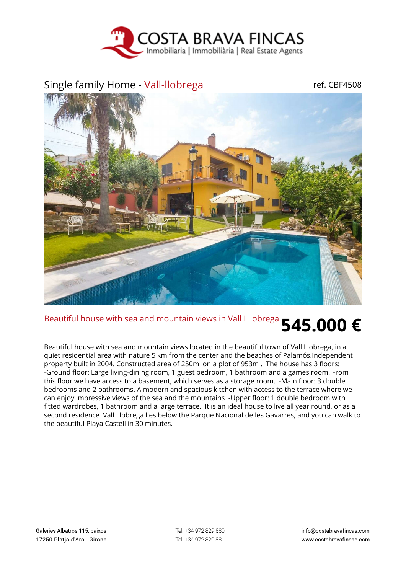

## Single family Home - Vall-llobrega example and the ref. CBF4508



## Beautiful house with sea and mountain views in Vall LLobrega **545.000 €**

Beautiful house with sea and mountain views located in the beautiful town of Vall Llobrega, in a quiet residential area with nature 5 km from the center and the beaches of Palamós.Independent property built in 2004. Constructed area of 250m on a plot of 953m . The house has 3 floors: -Ground floor: Large living-dining room, 1 guest bedroom, 1 bathroom and a games room. From this floor we have access to a basement, which serves as a storage room. -Main floor: 3 double bedrooms and 2 bathrooms. A modern and spacious kitchen with access to the terrace where we can enjoy impressive views of the sea and the mountains -Upper floor: 1 double bedroom with fitted wardrobes, 1 bathroom and a large terrace. It is an ideal house to live all year round, or as a second residence Vall Llobrega lies below the Parque Nacional de les Gavarres, and you can walk to the beautiful Playa Castell in 30 minutes.